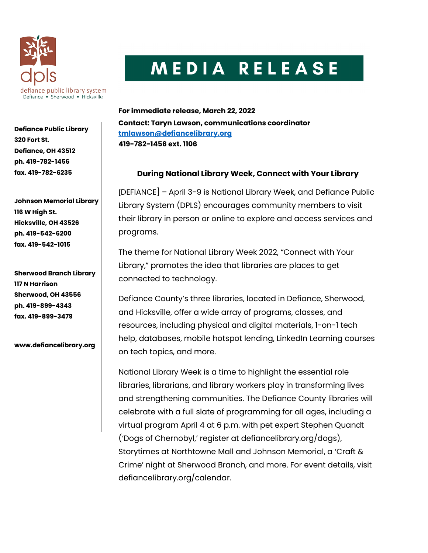

## MEDIA RELEASE

**For immediate release, March 22, 2022 Contact: Taryn Lawson, communications coordinator [tmlawson@defiancelibrary.org](mailto:tmlawson@defiancelibrary.org) 419-782-1456 ext. 1106**

## **During National Library Week, Connect with Your Library**

[DEFIANCE] – April 3-9 is National Library Week, and Defiance Public Library System (DPLS) encourages community members to visit their library in person or online to explore and access services and programs.

The theme for National Library Week 2022, "Connect with Your Library," promotes the idea that libraries are places to get connected to technology.

Defiance County's three libraries, located in Defiance, Sherwood, and Hicksville, offer a wide array of programs, classes, and resources, including physical and digital materials, 1-on-1 tech help, databases, mobile hotspot lending, LinkedIn Learning courses on tech topics, and more.

National Library Week is a time to highlight the essential role libraries, librarians, and library workers play in transforming lives and strengthening communities. The Defiance County libraries will celebrate with a full slate of programming for all ages, including a virtual program April 4 at 6 p.m. with pet expert Stephen Quandt ('Dogs of Chernobyl,' register at defiancelibrary.org/dogs), Storytimes at Northtowne Mall and Johnson Memorial, a 'Craft & Crime' night at Sherwood Branch, and more. For event details, visit defiancelibrary.org/calendar.

**Defiance Public Library 320 Fort St. Defiance, OH 43512 ph. 419-782-1456 fax. 419-782-6235**

**Johnson Memorial Library 116 W High St. Hicksville, OH 43526 ph. 419-542-6200 fax. 419-542-1015**

**Sherwood Branch Library 117 N Harrison Sherwood, OH 43556 ph. 419-899-4343 fax. 419-899-3479**

**www.defiancelibrary.org**